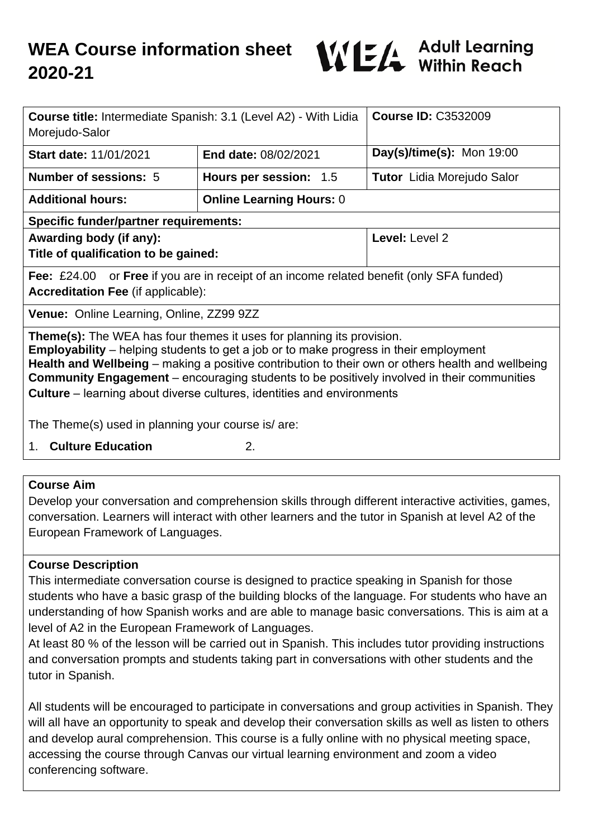

| <b>Course title:</b> Intermediate Spanish: 3.1 (Level A2) - With Lidia                                                                                                                                                                                                                                                                                                                                                                                                  |                                 | <b>Course ID: C3532009</b>        |
|-------------------------------------------------------------------------------------------------------------------------------------------------------------------------------------------------------------------------------------------------------------------------------------------------------------------------------------------------------------------------------------------------------------------------------------------------------------------------|---------------------------------|-----------------------------------|
| Morejudo-Salor                                                                                                                                                                                                                                                                                                                                                                                                                                                          |                                 |                                   |
| <b>Start date: 11/01/2021</b>                                                                                                                                                                                                                                                                                                                                                                                                                                           | <b>End date: 08/02/2021</b>     | Day(s)/time(s): Mon 19:00         |
| <b>Number of sessions: 5</b>                                                                                                                                                                                                                                                                                                                                                                                                                                            | Hours per session: 1.5          | <b>Tutor</b> Lidia Morejudo Salor |
| <b>Additional hours:</b>                                                                                                                                                                                                                                                                                                                                                                                                                                                | <b>Online Learning Hours: 0</b> |                                   |
| <b>Specific funder/partner requirements:</b>                                                                                                                                                                                                                                                                                                                                                                                                                            |                                 |                                   |
| Awarding body (if any):                                                                                                                                                                                                                                                                                                                                                                                                                                                 |                                 | Level: Level 2                    |
| Title of qualification to be gained:                                                                                                                                                                                                                                                                                                                                                                                                                                    |                                 |                                   |
| <b>Fee:</b> £24.00 or <b>Free</b> if you are in receipt of an income related benefit (only SFA funded)                                                                                                                                                                                                                                                                                                                                                                  |                                 |                                   |
| <b>Accreditation Fee (if applicable):</b>                                                                                                                                                                                                                                                                                                                                                                                                                               |                                 |                                   |
| Venue: Online Learning, Online, ZZ99 9ZZ                                                                                                                                                                                                                                                                                                                                                                                                                                |                                 |                                   |
| <b>Theme(s):</b> The WEA has four themes it uses for planning its provision.<br><b>Employability</b> – helping students to get a job or to make progress in their employment<br>Health and Wellbeing – making a positive contribution to their own or others health and wellbeing<br><b>Community Engagement</b> – encouraging students to be positively involved in their communities<br><b>Culture</b> – learning about diverse cultures, identities and environments |                                 |                                   |
| The Theme(s) used in planning your course is/are:                                                                                                                                                                                                                                                                                                                                                                                                                       |                                 |                                   |
| 1. Culture Education<br>2.                                                                                                                                                                                                                                                                                                                                                                                                                                              |                                 |                                   |

#### **Course Aim**

Develop your conversation and comprehension skills through different interactive activities, games, conversation. Learners will interact with other learners and the tutor in Spanish at level A2 of the European Framework of Languages.

### **Course Description**

This intermediate conversation course is designed to practice speaking in Spanish for those students who have a basic grasp of the building blocks of the language. For students who have an understanding of how Spanish works and are able to manage basic conversations. This is aim at a level of A2 in the European Framework of Languages.

At least 80 % of the lesson will be carried out in Spanish. This includes tutor providing instructions and conversation prompts and students taking part in conversations with other students and the tutor in Spanish.

All students will be encouraged to participate in conversations and group activities in Spanish. They will all have an opportunity to speak and develop their conversation skills as well as listen to others and develop aural comprehension. This course is a fully online with no physical meeting space, accessing the course through Canvas our virtual learning environment and zoom a video conferencing software.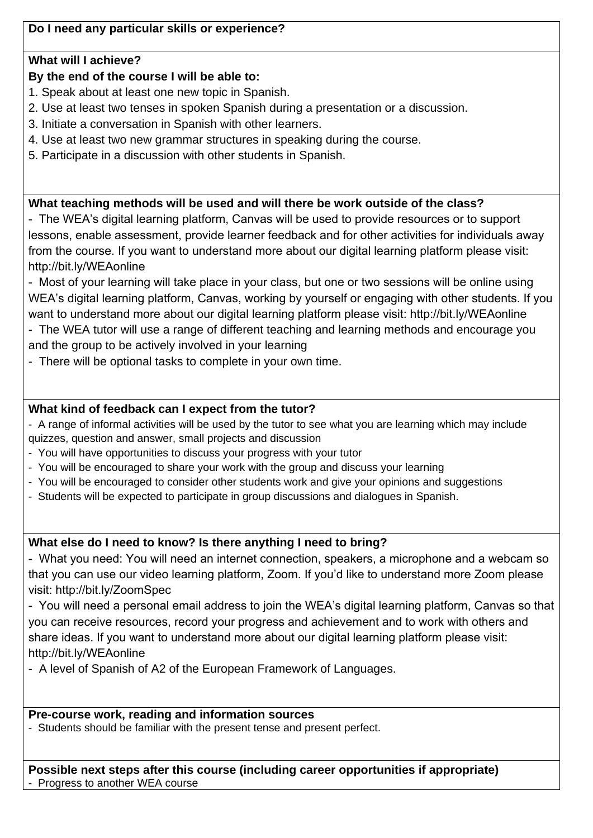**Do I need any particular skills or experience?**

# **What will I achieve?**

# **By the end of the course I will be able to:**

1. Speak about at least one new topic in Spanish.

- 2. Use at least two tenses in spoken Spanish during a presentation or a discussion.
- 3. Initiate a conversation in Spanish with other learners.
- 4. Use at least two new grammar structures in speaking during the course.
- 5. Participate in a discussion with other students in Spanish.

# **What teaching methods will be used and will there be work outside of the class?**

- The WEA's digital learning platform, Canvas will be used to provide resources or to support lessons, enable assessment, provide learner feedback and for other activities for individuals away from the course. If you want to understand more about our digital learning platform please visit: http://bit.ly/WEAonline

- Most of your learning will take place in your class, but one or two sessions will be online using WEA's digital learning platform, Canvas, working by yourself or engaging with other students. If you want to understand more about our digital learning platform please visit: http://bit.ly/WEAonline

- The WEA tutor will use a range of different teaching and learning methods and encourage you and the group to be actively involved in your learning

- There will be optional tasks to complete in your own time.

# **What kind of feedback can I expect from the tutor?**

- A range of informal activities will be used by the tutor to see what you are learning which may include quizzes, question and answer, small projects and discussion

- You will have opportunities to discuss your progress with your tutor
- You will be encouraged to share your work with the group and discuss your learning
- You will be encouraged to consider other students work and give your opinions and suggestions
- Students will be expected to participate in group discussions and dialogues in Spanish.

# **What else do I need to know? Is there anything I need to bring?**

- What you need: You will need an internet connection, speakers, a microphone and a webcam so that you can use our video learning platform, Zoom. If you'd like to understand more Zoom please visit: http://bit.ly/ZoomSpec

- You will need a personal email address to join the WEA's digital learning platform, Canvas so that you can receive resources, record your progress and achievement and to work with others and share ideas. If you want to understand more about our digital learning platform please visit: http://bit.ly/WEAonline

- A level of Spanish of A2 of the European Framework of Languages.

## **Pre-course work, reading and information sources**

- Students should be familiar with the present tense and present perfect.

# **Possible next steps after this course (including career opportunities if appropriate)**

- Progress to another WEA course